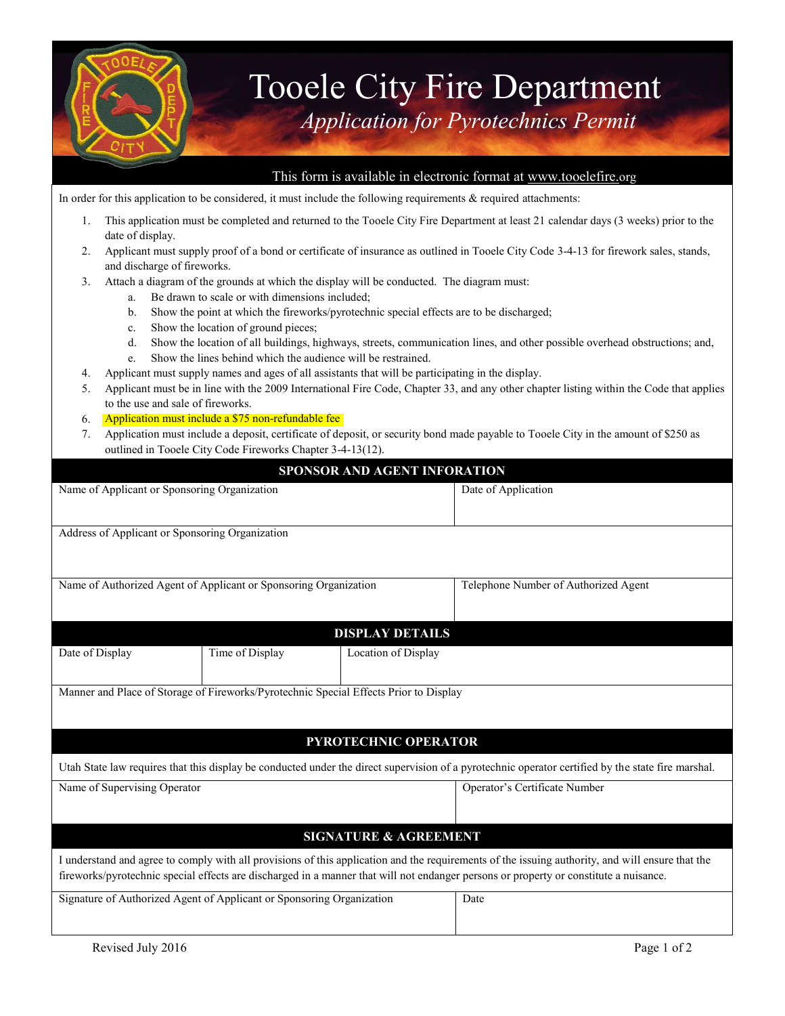

## Tooele City Fire Department *Application for Pyrotechnics Permit*

## This form is available in electronic format at [www.tooelefire.](http://www.tooelefire./)org

In order for this application to be considered, it must include the following requirements  $\&$  required attachments:

- 1. This application must be completed and returned to the Tooele City Fire Department at least 21 calendar days (3 weeks) prior to the date of display.
- 2. Applicant must supply proof of a bond or certificate of insurance as outlined in Tooele City Code 3-4-13 for firework sales, stands, and discharge of fireworks.
- 3. Attach a diagram of the grounds at which the display will be conducted. The diagram must:
	- a. Be drawn to scale or with dimensions included;
	- b. Show the point at which the fireworks/pyrotechnic special effects are to be discharged;
	- c. Show the location of ground pieces;
	- d. Show the location of all buildings, highways, streets, communication lines, and other possible overhead obstructions; and,
	- e. Show the lines behind which the audience will be restrained.
- 4. Applicant must supply names and ages of all assistants that will be participating in the display.
- 5. Applicant must be in line with the 2009 International Fire Code, Chapter 33, and any other chapter listing within the Code that applies to the use and sale of fireworks.
- 6. Application must include a \$75 non-refundable fee
- 7. Application must include a deposit, certificate of deposit, or security bond made payable to Tooele City in the amount of \$250 as outlined in Tooele City Code Fireworks Chapter 3-4-13(12).

|                                                                                       |                 | SPONSOR AND AGENT INFORATION     |                                                                                                                                                                                                                                                                                           |  |  |
|---------------------------------------------------------------------------------------|-----------------|----------------------------------|-------------------------------------------------------------------------------------------------------------------------------------------------------------------------------------------------------------------------------------------------------------------------------------------|--|--|
| Name of Applicant or Sponsoring Organization                                          |                 |                                  | Date of Application                                                                                                                                                                                                                                                                       |  |  |
| Address of Applicant or Sponsoring Organization                                       |                 |                                  |                                                                                                                                                                                                                                                                                           |  |  |
| Name of Authorized Agent of Applicant or Sponsoring Organization                      |                 |                                  | Telephone Number of Authorized Agent                                                                                                                                                                                                                                                      |  |  |
| <b>DISPLAY DETAILS</b>                                                                |                 |                                  |                                                                                                                                                                                                                                                                                           |  |  |
| Date of Display                                                                       | Time of Display | Location of Display              |                                                                                                                                                                                                                                                                                           |  |  |
| Manner and Place of Storage of Fireworks/Pyrotechnic Special Effects Prior to Display |                 |                                  |                                                                                                                                                                                                                                                                                           |  |  |
|                                                                                       |                 | <b>PYROTECHNIC OPERATOR</b>      |                                                                                                                                                                                                                                                                                           |  |  |
|                                                                                       |                 |                                  | Utah State law requires that this display be conducted under the direct supervision of a pyrotechnic operator certified by the state fire marshal.                                                                                                                                        |  |  |
| Name of Supervising Operator                                                          |                 |                                  | Operator's Certificate Number                                                                                                                                                                                                                                                             |  |  |
|                                                                                       |                 | <b>SIGNATURE &amp; AGREEMENT</b> |                                                                                                                                                                                                                                                                                           |  |  |
|                                                                                       |                 |                                  | I understand and agree to comply with all provisions of this application and the requirements of the issuing authority, and will ensure that the<br>fireworks/pyrotechnic special effects are discharged in a manner that will not endanger persons or property or constitute a nuisance. |  |  |
| Signature of Authorized Agent of Applicant or Sponsoring Organization                 |                 |                                  | Date                                                                                                                                                                                                                                                                                      |  |  |
| Revised July 2016                                                                     |                 |                                  | Page 1 of 2                                                                                                                                                                                                                                                                               |  |  |